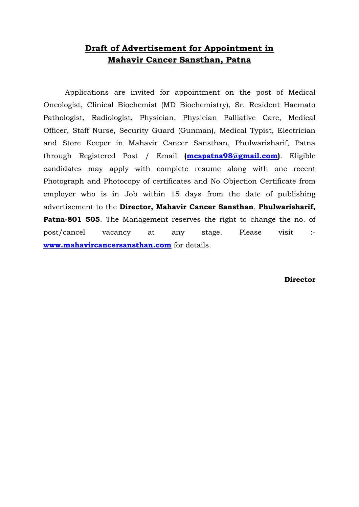## **Draft of Advertisement for Appointment in Mahavir Cancer Sansthan, Patna**

Applications are invited for appointment on the post of Medical Oncologist, Clinical Biochemist (MD Biochemistry), Sr. Resident Haemato Pathologist, Radiologist, Physician, Physician Palliative Care, Medical Officer, Staff Nurse, Security Guard (Gunman), Medical Typist, Electrician and Store Keeper in Mahavir Cancer Sansthan, Phulwarisharif, Patna through Registered Post / Email **[\(mcspatna98@gmail.com\)](mailto:mcspatna98@gmail.com)**. Eligible candidates may apply with complete resume along with one recent Photograph and Photocopy of certificates and No Objection Certificate from employer who is in Job within 15 days from the date of publishing advertisement to the **Director, Mahavir Cancer Sansthan**, **Phulwarisharif, Patna-801 505.** The Management reserves the right to change the no. of post/cancel vacancy at any stage. Please visit : **[www.mahavircancersansthan.com](http://www.mahavircancersansthan.com/)** for details.

**Director**